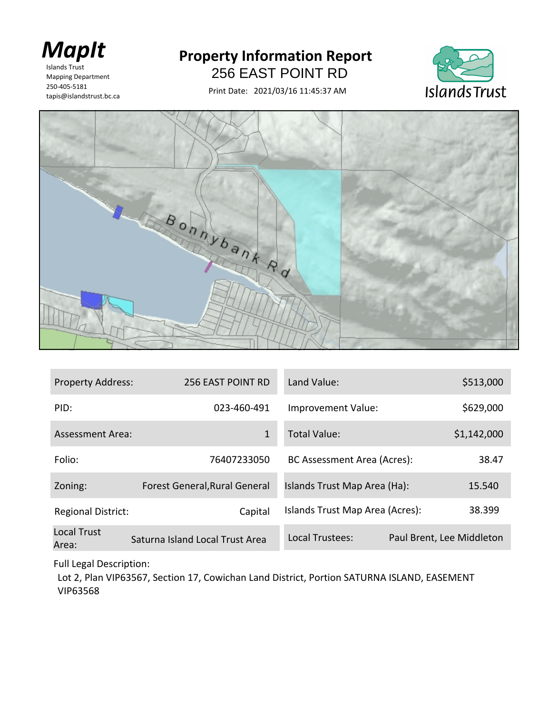

Islands Trust 250-405-5181 tapis@islandstrust.bc.ca Mapping Department

## **Property Information Report**

256 EAST POINT RD

Print Date: 2021/03/16 11:45:37 AM





| <b>Property Address:</b>    | <b>256 EAST POINT RD</b>        | Land Value:                     | \$513,000                 |
|-----------------------------|---------------------------------|---------------------------------|---------------------------|
| PID:                        | 023-460-491                     | Improvement Value:              | \$629,000                 |
| Assessment Area:            | $\mathbf{1}$                    | Total Value:                    | \$1,142,000               |
| Folio:                      | 76407233050                     | BC Assessment Area (Acres):     | 38.47                     |
| Zoning:                     | Forest General, Rural General   | Islands Trust Map Area (Ha):    | 15.540                    |
| <b>Regional District:</b>   | Capital                         | Islands Trust Map Area (Acres): | 38.399                    |
| <b>Local Trust</b><br>Area: | Saturna Island Local Trust Area | Local Trustees:                 | Paul Brent, Lee Middleton |

Full Legal Description:

Lot 2, Plan VIP63567, Section 17, Cowichan Land District, Portion SATURNA ISLAND, EASEMENT VIP63568